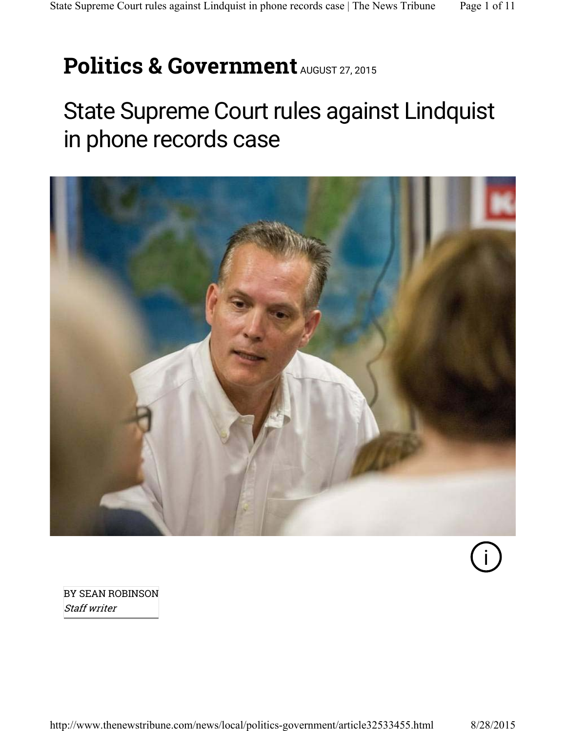# **Politics & Government** AUGUST 27, 2015

## State Supreme Court rules against Lindquist in phone records case



i

BY SEAN ROBINSON Staff writer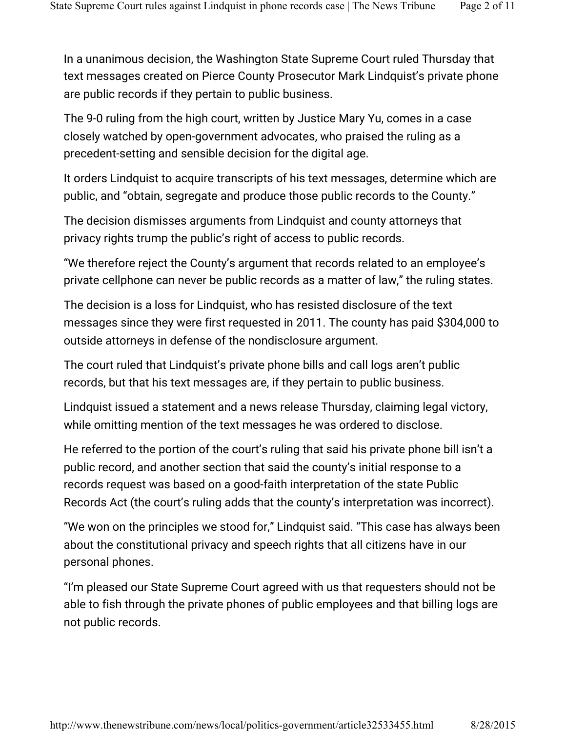In a unanimous decision, the Washington State Supreme Court ruled Thursday that text messages created on Pierce County Prosecutor Mark Lindquist's private phone are public records if they pertain to public business.

The 9-0 ruling from the high court, written by Justice Mary Yu, comes in a case closely watched by open-government advocates, who praised the ruling as a precedent-setting and sensible decision for the digital age.

It orders Lindquist to acquire transcripts of his text messages, determine which are public, and "obtain, segregate and produce those public records to the County."

The decision dismisses arguments from Lindquist and county attorneys that privacy rights trump the public's right of access to public records.

"We therefore reject the County's argument that records related to an employee's private cellphone can never be public records as a matter of law," the ruling states.

The decision is a loss for Lindquist, who has resisted disclosure of the text messages since they were first requested in 2011. The county has paid \$304,000 to outside attorneys in defense of the nondisclosure argument.

The court ruled that Lindquist's private phone bills and call logs aren't public records, but that his text messages are, if they pertain to public business.

Lindquist issued a statement and a news release Thursday, claiming legal victory, while omitting mention of the text messages he was ordered to disclose.

He referred to the portion of the court's ruling that said his private phone bill isn't a public record, and another section that said the county's initial response to a records request was based on a good-faith interpretation of the state Public Records Act (the court's ruling adds that the county's interpretation was incorrect).

"We won on the principles we stood for," Lindquist said. "This case has always been about the constitutional privacy and speech rights that all citizens have in our personal phones.

"I'm pleased our State Supreme Court agreed with us that requesters should not be able to fish through the private phones of public employees and that billing logs are not public records.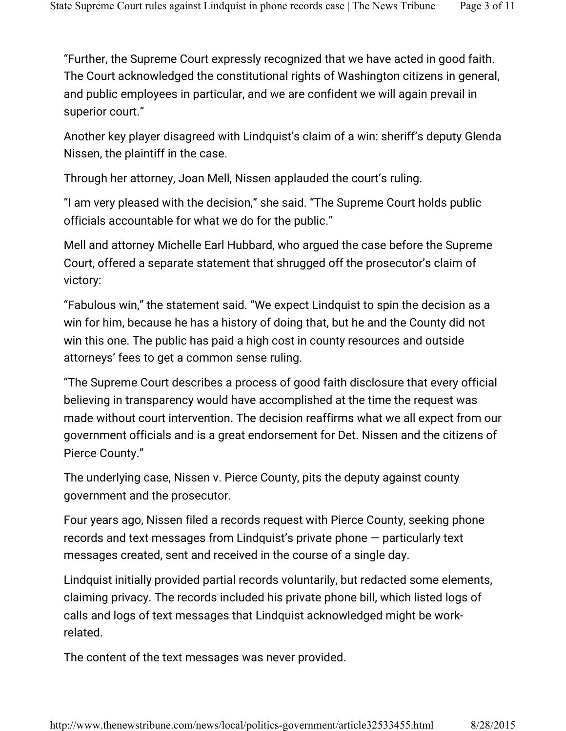"Further, the Supreme Court expressly recognized that we have acted in good faith. The Court acknowledged the constitutional rights of Washington citizens in general, and public employees in particular, and we are confident we will again prevail in superior court."

Another key player disagreed with Lindquist's claim of a win: sheriff's deputy Glenda Nissen, the plaintiff in the case.

Through her attorney, Joan Mell, Nissen applauded the court's ruling.

"I am very pleased with the decision," she said. "The Supreme Court holds public officials accountable for what we do for the public."

Mell and attorney Michelle Earl Hubbard, who argued the case before the Supreme Court, offered a separate statement that shrugged off the prosecutor's claim of victory:

"Fabulous win," the statement said. "We expect Lindquist to spin the decision as a win for him, because he has a history of doing that, but he and the County did not win this one. The public has paid a high cost in county resources and outside attorneys' fees to get a common sense ruling.

"The Supreme Court describes a process of good faith disclosure that every official believing in transparency would have accomplished at the time the request was made without court intervention. The decision reaffirms what we all expect from our government officials and is a great endorsement for Det. Nissen and the citizens of Pierce County."

The underlying case, Nissen v. Pierce County, pits the deputy against county government and the prosecutor.

Four years ago, Nissen filed a records request with Pierce County, seeking phone records and text messages from Lindquist's private phone — particularly text messages created, sent and received in the course of a single day.

Lindquist initially provided partial records voluntarily, but redacted some elements, claiming privacy. The records included his private phone bill, which listed logs of calls and logs of text messages that Lindquist acknowledged might be workrelated.

The content of the text messages was never provided.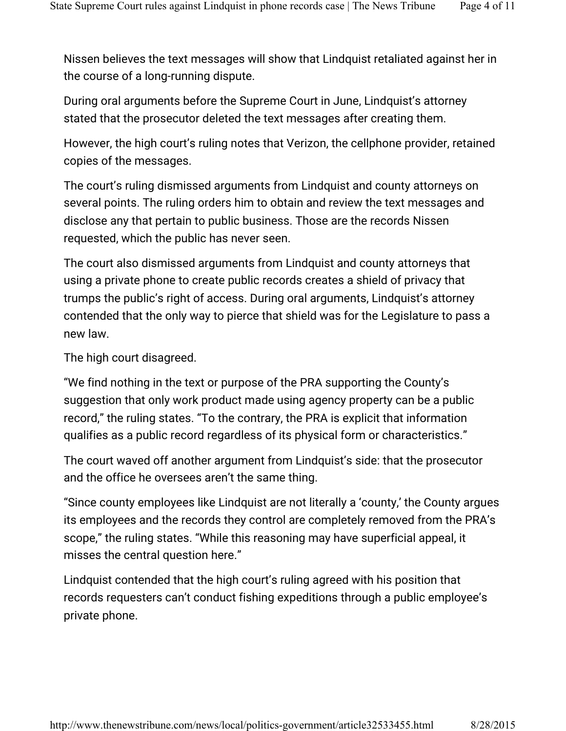Nissen believes the text messages will show that Lindquist retaliated against her in the course of a long-running dispute.

During oral arguments before the Supreme Court in June, Lindquist's attorney stated that the prosecutor deleted the text messages after creating them.

However, the high court's ruling notes that Verizon, the cellphone provider, retained copies of the messages.

The court's ruling dismissed arguments from Lindquist and county attorneys on several points. The ruling orders him to obtain and review the text messages and disclose any that pertain to public business. Those are the records Nissen requested, which the public has never seen.

The court also dismissed arguments from Lindquist and county attorneys that using a private phone to create public records creates a shield of privacy that trumps the public's right of access. During oral arguments, Lindquist's attorney contended that the only way to pierce that shield was for the Legislature to pass a new law.

The high court disagreed.

"We find nothing in the text or purpose of the PRA supporting the County's suggestion that only work product made using agency property can be a public record," the ruling states. "To the contrary, the PRA is explicit that information qualifies as a public record regardless of its physical form or characteristics."

The court waved off another argument from Lindquist's side: that the prosecutor and the office he oversees aren't the same thing.

"Since county employees like Lindquist are not literally a 'county,' the County argues its employees and the records they control are completely removed from the PRA's scope," the ruling states. "While this reasoning may have superficial appeal, it misses the central question here."

Lindquist contended that the high court's ruling agreed with his position that records requesters can't conduct fishing expeditions through a public employee's private phone.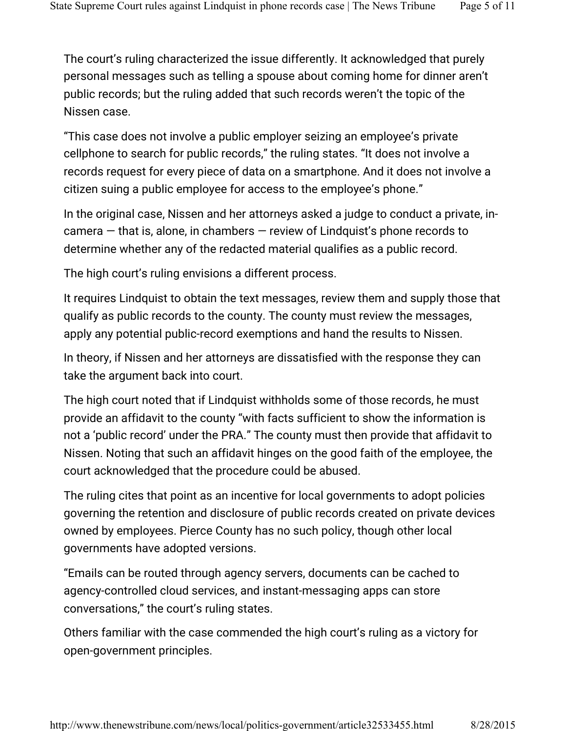The court's ruling characterized the issue differently. It acknowledged that purely personal messages such as telling a spouse about coming home for dinner aren't public records; but the ruling added that such records weren't the topic of the Nissen case.

"This case does not involve a public employer seizing an employee's private cellphone to search for public records," the ruling states. "It does not involve a records request for every piece of data on a smartphone. And it does not involve a citizen suing a public employee for access to the employee's phone."

In the original case, Nissen and her attorneys asked a judge to conduct a private, incamera — that is, alone, in chambers — review of Lindquist's phone records to determine whether any of the redacted material qualifies as a public record.

The high court's ruling envisions a different process.

It requires Lindquist to obtain the text messages, review them and supply those that qualify as public records to the county. The county must review the messages, apply any potential public-record exemptions and hand the results to Nissen.

In theory, if Nissen and her attorneys are dissatisfied with the response they can take the argument back into court.

The high court noted that if Lindquist withholds some of those records, he must provide an affidavit to the county "with facts sufficient to show the information is not a 'public record' under the PRA." The county must then provide that affidavit to Nissen. Noting that such an affidavit hinges on the good faith of the employee, the court acknowledged that the procedure could be abused.

The ruling cites that point as an incentive for local governments to adopt policies governing the retention and disclosure of public records created on private devices owned by employees. Pierce County has no such policy, though other local governments have adopted versions.

"Emails can be routed through agency servers, documents can be cached to agency-controlled cloud services, and instant-messaging apps can store conversations," the court's ruling states.

Others familiar with the case commended the high court's ruling as a victory for open-government principles.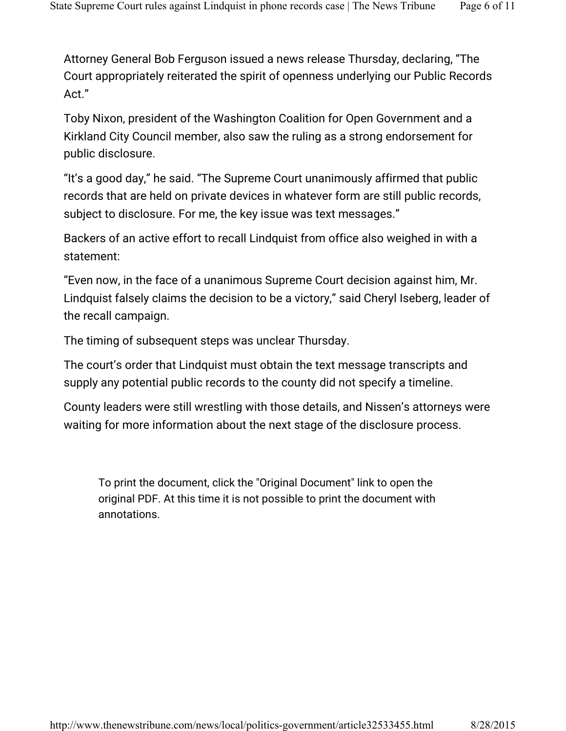Attorney General Bob Ferguson issued a news release Thursday, declaring, "The Court appropriately reiterated the spirit of openness underlying our Public Records Act."

Toby Nixon, president of the Washington Coalition for Open Government and a Kirkland City Council member, also saw the ruling as a strong endorsement for public disclosure.

"It's a good day," he said. "The Supreme Court unanimously affirmed that public records that are held on private devices in whatever form are still public records, subject to disclosure. For me, the key issue was text messages."

Backers of an active effort to recall Lindquist from office also weighed in with a statement:

"Even now, in the face of a unanimous Supreme Court decision against him, Mr. Lindquist falsely claims the decision to be a victory," said Cheryl Iseberg, leader of the recall campaign.

The timing of subsequent steps was unclear Thursday.

The court's order that Lindquist must obtain the text message transcripts and supply any potential public records to the county did not specify a timeline.

County leaders were still wrestling with those details, and Nissen's attorneys were waiting for more information about the next stage of the disclosure process.

To print the document, click the "Original Document" link to open the original PDF. At this time it is not possible to print the document with annotations.